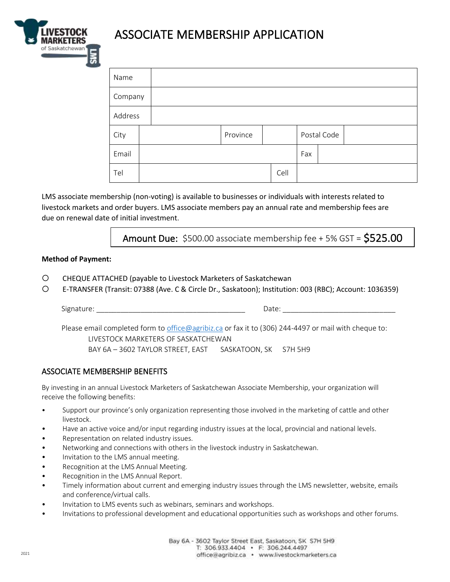

# ASSOCIATE MEMBERSHIP APPLICATION

| Name    |  |          |      |             |  |  |
|---------|--|----------|------|-------------|--|--|
| Company |  |          |      |             |  |  |
| Address |  |          |      |             |  |  |
| City    |  | Province |      | Postal Code |  |  |
| Email   |  |          |      | Fax         |  |  |
| Tel     |  |          | Cell |             |  |  |

LMS associate membership (non-voting) is available to businesses or individuals with interests related to livestock markets and order buyers. LMS associate members pay an annual rate and membership fees are due on renewal date of initial investment.

**Amount Due:** \$500.00 associate membership fee  $+5\%$  GST =  $$525.00$ 

#### **Method of Payment:**

- CHEQUE ATTACHED (payable to Livestock Marketers of Saskatchewan
- E-TRANSFER (Transit: 07388 (Ave. C & Circle Dr., Saskatoon); Institution: 003 (RBC); Account: 1036359)

Signature: \_\_\_\_\_\_\_\_\_\_\_\_\_\_\_\_\_\_\_\_\_\_\_\_\_\_\_\_\_\_\_\_\_\_\_\_\_ Date: \_\_\_\_\_\_\_\_\_\_\_\_\_\_\_\_\_\_\_\_\_\_\_\_\_\_\_\_

Please email completed form to [office@agribiz.ca](mailto:office@agribiz.ca) or fax it to (306) 244-4497 or mail with cheque to: LIVESTOCK MARKETERS OF SASKATCHEWAN BAY 6A - 3602 TAYLOR STREET, EAST SASKATOON, SK S7H 5H9

### ASSOCIATE MEMBERSHIP BENEFITS

By investing in an annual Livestock Marketers of Saskatchewan Associate Membership, your organization will receive the following benefits:

- Support our province's only organization representing those involved in the marketing of cattle and other livestock.
- Have an active voice and/or input regarding industry issues at the local, provincial and national levels.
- Representation on related industry issues.
- Networking and connections with others in the livestock industry in Saskatchewan.
- Invitation to the LMS annual meeting.
- Recognition at the LMS Annual Meeting.
- Recognition in the LMS Annual Report.
- Timely information about current and emerging industry issues through the LMS newsletter, website, emails and conference/virtual calls.
- Invitation to LMS events such as webinars, seminars and workshops.
- Invitations to professional development and educational opportunities such as workshops and other forums.